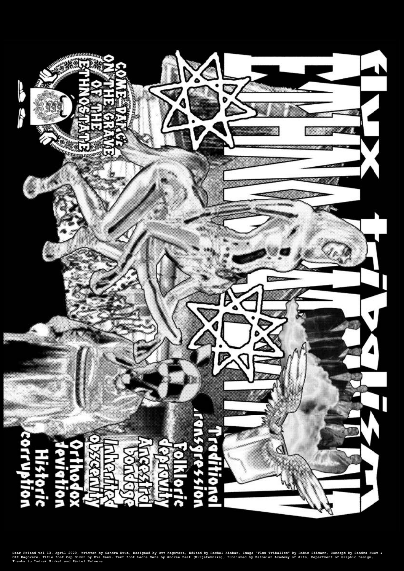

**Dear Friend vol 13, April 2020, Written by Sandra Nuut, Designed by Ott Kagovere, Edited by Rachel Kinbar, Image "Flux Tribalism" by Robin Siimann, Concept by Sandra Nuut & Ott Kagovere, Title font Cap Sizun by Eva Rank, Text font Ladna Sans by Andree Paat (Kirjatehnika), Published by Estonian Academy of Arts, Department of Graphic Design, Thanks to Indrek Sirkel and Pärtel Eelmere**